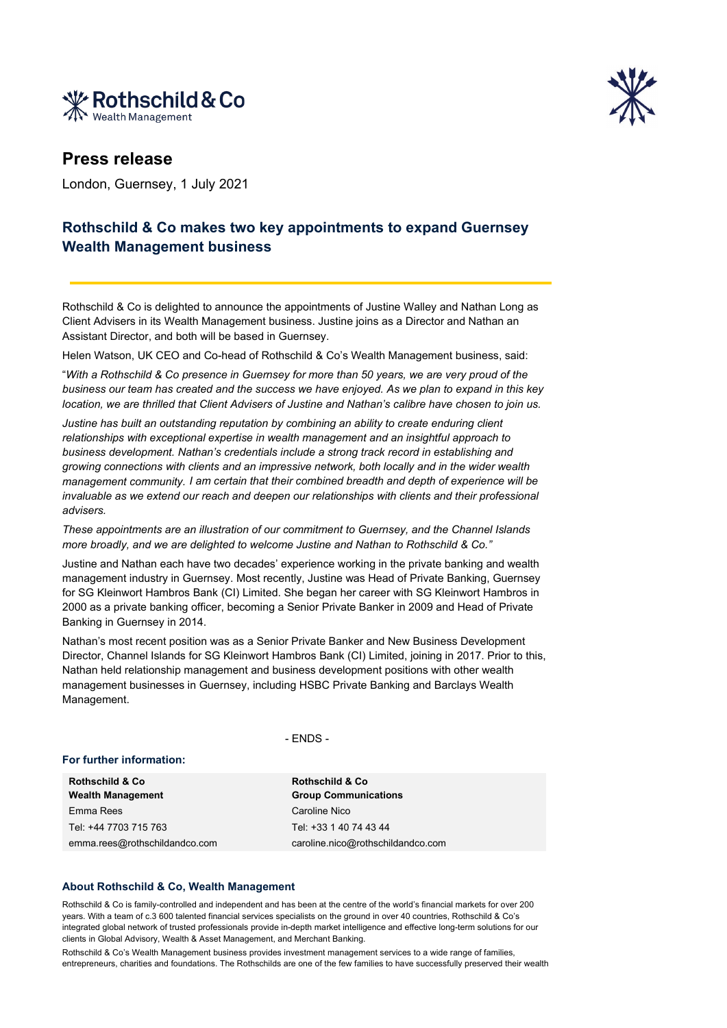



## **Press release**

London, Guernsey, 1 July 2021

## **Rothschild & Co makes two key appointments to expand Guernsey Wealth Management business**

Rothschild & Co is delighted to announce the appointments of Justine Walley and Nathan Long as Client Advisers in its Wealth Management business. Justine joins as a Director and Nathan an Assistant Director, and both will be based in Guernsey.

Helen Watson, UK CEO and Co-head of Rothschild & Co's Wealth Management business, said:

"*With a Rothschild & Co presence in Guernsey for more than 50 years, we are very proud of the business our team has created and the success we have enjoyed. As we plan to expand in this key location, we are thrilled that Client Advisers of Justine and Nathan's calibre have chosen to join us.* 

*Justine has built an outstanding reputation by combining an ability to create enduring client relationships with exceptional expertise in wealth management and an insightful approach to business development. Nathan's credentials include a strong track record in establishing and growing connections with clients and an impressive network, both locally and in the wider wealth management community. I am certain that their combined breadth and depth of experience will be invaluable as we extend our reach and deepen our relationships with clients and their professional advisers.* 

*These appointments are an illustration of our commitment to Guernsey, and the Channel Islands more broadly, and we are delighted to welcome Justine and Nathan to Rothschild & Co."*

Justine and Nathan each have two decades' experience working in the private banking and wealth management industry in Guernsey. Most recently, Justine was Head of Private Banking, Guernsey for SG Kleinwort Hambros Bank (CI) Limited. She began her career with SG Kleinwort Hambros in 2000 as a private banking officer, becoming a Senior Private Banker in 2009 and Head of Private Banking in Guernsey in 2014.

Nathan's most recent position was as a Senior Private Banker and New Business Development Director, Channel Islands for SG Kleinwort Hambros Bank (CI) Limited, joining in 2017. Prior to this, Nathan held relationship management and business development positions with other wealth management businesses in Guernsey, including HSBC Private Banking and Barclays Wealth Management.

- ENDS -

## **For further information:**

**Rothschild & Co Wealth Management** Emma Rees Caroline Nico Tel: +44 7703 715 763 Tel: +33 1 40 74 43 44 emma.rees@rothschildandco.com caroline.nico@rothschildandco.com

**Rothschild & Co Group Communications**

## **About Rothschild & Co, Wealth Management**

Rothschild & Co is family-controlled and independent and has been at the centre of the world's financial markets for over 200 years. With a team of c.3 600 talented financial services specialists on the ground in over 40 countries, Rothschild & Co's integrated global network of trusted professionals provide in-depth market intelligence and effective long-term solutions for our clients in Global Advisory, Wealth & Asset Management, and Merchant Banking.

Rothschild & Co's Wealth Management business provides investment management services to a wide range of families, entrepreneurs, charities and foundations. The Rothschilds are one of the few families to have successfully preserved their wealth